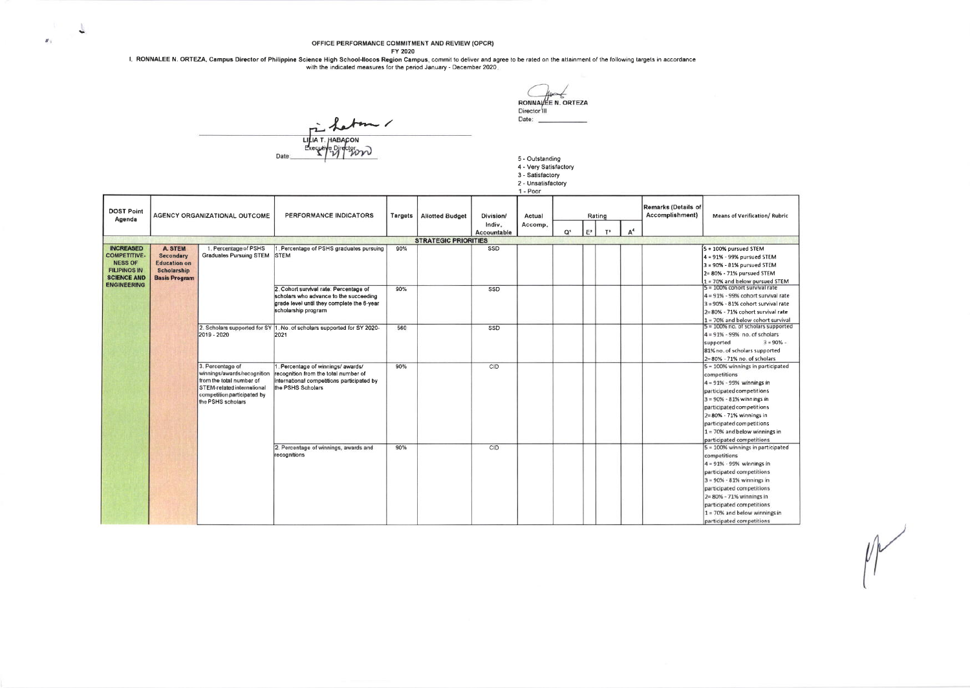## OFFICE PERFORMANCE COMMITMENT AND REVIEW (OPCR)

of the first of the contentation of the contentation of the several of the several of the several of the several or the several or the several paper to the attainment of the following targets in accordance<br>with the indicat

RONNAVEE N. ORTEZA Director<sup>111</sup>

**JARACOM** Date

L

 $\mathbf{z}_1$ 

## 5 - Outstanding<br>4 - Very Satisfactory 4 - very Salislacion<br>3 - Satisfactory<br>2 - Unsatisfactory<br>1 - Poor

Date:

 $M$ 

|                             |                      |                                                 |                                                                        |         |                             |                                    | .                 |    |       |                 |                |                                        |                                                            |
|-----------------------------|----------------------|-------------------------------------------------|------------------------------------------------------------------------|---------|-----------------------------|------------------------------------|-------------------|----|-------|-----------------|----------------|----------------------------------------|------------------------------------------------------------|
| <b>DOST Point</b><br>Agenda |                      | AGENCY ORGANIZATIONAL OUTCOME                   | PERFORMANCE INDICATORS                                                 | Targets | <b>Allotted Budget</b>      | Division/<br>Indiv.<br>Accountable | Actual<br>Accomp. | O1 | $E^2$ | Rating<br>$T^3$ | A <sup>4</sup> | Remarks (Details of<br>Accomplishment) | <b>Means of Verification/ Rubric</b>                       |
|                             |                      |                                                 |                                                                        |         | <b>STRATEGIC PRIORITIES</b> |                                    |                   |    |       |                 |                |                                        |                                                            |
| <b>INCREASED</b>            | <b>A. STEM</b>       | 1. Percentage of PSHS                           | Percentage of PSHS graduates pursuing                                  | 90%     |                             | SSD                                |                   |    |       |                 |                |                                        | $5 = 100\%$ pursued STEM                                   |
| <b>COMPETITIVE</b>          | <b>Secondary</b>     | <b>Graduates Pursuing STEM</b>                  | <b>STEM</b>                                                            |         |                             |                                    |                   |    |       |                 |                |                                        | $4 = 91\% - 99\%$ pursued STEM                             |
| <b>NESS OF</b>              | <b>Education on</b>  |                                                 |                                                                        |         |                             |                                    |                   |    |       |                 |                |                                        | $3 = 90\% - 81\%$ pursued STEM                             |
| <b>FILIPINOS IN</b>         | Scholarship          |                                                 |                                                                        |         |                             |                                    |                   |    |       |                 |                |                                        | 2= 80% - 71% pursued STEM                                  |
| <b>SCIENCE AND</b>          | <b>Basis Program</b> |                                                 |                                                                        |         |                             |                                    |                   |    |       |                 |                |                                        | 1 = 70% and below pursued STEM                             |
| <b>ENGINEERING</b>          |                      |                                                 | 2. Cohort survival rate: Percentage of                                 | 90%     |                             | SSD                                |                   |    |       |                 |                |                                        | 5 = 100% cohort survival rate                              |
|                             |                      |                                                 | scholars who advance to the succeeding                                 |         |                             |                                    |                   |    |       |                 |                |                                        | $4 = 91\% - 99\%$ cohort survival rate                     |
|                             |                      |                                                 | grade level until they complete the 6-year                             |         |                             |                                    |                   |    |       |                 |                |                                        | $3 = 90\% - 81\%$ cohort survival rate                     |
|                             |                      |                                                 | scholarship program                                                    |         |                             |                                    |                   |    |       |                 |                |                                        | 2= 80% - 71% cohort survival rate                          |
|                             |                      |                                                 |                                                                        |         |                             |                                    |                   |    |       |                 |                |                                        | $1$ = 70% and below cohort survival                        |
|                             |                      | 2. Scholars supported for SY                    | 1. No. of scholars supported for SY 2020-                              | 560     |                             | SSD                                |                   |    |       |                 |                |                                        | $5 = 100\%$ no. of scholars supported                      |
|                             |                      | 2019 - 2020                                     | 2021                                                                   |         |                             |                                    |                   |    |       |                 |                |                                        | 4 = 91% - 99% no. of scholars                              |
|                             |                      |                                                 |                                                                        |         |                             |                                    |                   |    |       |                 |                |                                        | $3 = 90\%$ -<br>supported                                  |
|                             |                      |                                                 |                                                                        |         |                             |                                    |                   |    |       |                 |                |                                        | 81% no. of scholars supported                              |
|                             |                      |                                                 |                                                                        | 90%     |                             |                                    |                   |    |       |                 |                |                                        | 2=80% - 71% no. of scholars                                |
|                             |                      | 3. Percentage of<br>winnings/awards/recognition | Percentage of winnings/awards/<br>recognition from the total number of |         |                             | CID                                |                   |    |       |                 |                |                                        | 5 = 100% winnings in participated                          |
|                             |                      | from the total number of                        | international competitions participated by                             |         |                             |                                    |                   |    |       |                 |                |                                        | competitions<br>$4 = 91\% - 99\%$ winnings in              |
|                             |                      | STEM-related international                      | the PSHS Scholars                                                      |         |                             |                                    |                   |    |       |                 |                |                                        |                                                            |
|                             |                      | competition participated by                     |                                                                        |         |                             |                                    |                   |    |       |                 |                |                                        | participated competitions<br>$3 = 90\% - 81\%$ winnings in |
|                             |                      | the PSHS scholars                               |                                                                        |         |                             |                                    |                   |    |       |                 |                |                                        | participated competitions                                  |
|                             |                      |                                                 |                                                                        |         |                             |                                    |                   |    |       |                 |                |                                        | $2 = 80\% - 71\%$ winnings in                              |
|                             |                      |                                                 |                                                                        |         |                             |                                    |                   |    |       |                 |                |                                        | participated competitions                                  |
|                             |                      |                                                 |                                                                        |         |                             |                                    |                   |    |       |                 |                |                                        | $1 = 70%$ and below winnings in                            |
|                             |                      |                                                 |                                                                        |         |                             |                                    |                   |    |       |                 |                |                                        | participated competitions                                  |
|                             |                      |                                                 | 2. Percentage of winnings, awards and                                  | 90%     |                             | CID                                |                   |    |       |                 |                |                                        | 5 = 100% winnings in participated                          |
|                             |                      |                                                 | recognitions                                                           |         |                             |                                    |                   |    |       |                 |                |                                        | competitions                                               |
|                             |                      |                                                 |                                                                        |         |                             |                                    |                   |    |       |                 |                |                                        | 4 = 91% - 99% winnings in                                  |
|                             |                      |                                                 |                                                                        |         |                             |                                    |                   |    |       |                 |                |                                        | participated competitions                                  |
|                             |                      |                                                 |                                                                        |         |                             |                                    |                   |    |       |                 |                |                                        | $3 = 90% - 81%$ winnings in                                |
|                             |                      |                                                 |                                                                        |         |                             |                                    |                   |    |       |                 |                |                                        | participated competitions                                  |
|                             |                      |                                                 |                                                                        |         |                             |                                    |                   |    |       |                 |                |                                        | 2= 80% - 71% winnings in                                   |
|                             |                      |                                                 |                                                                        |         |                             |                                    |                   |    |       |                 |                |                                        | participated competitions                                  |
|                             |                      |                                                 |                                                                        |         |                             |                                    |                   |    |       |                 |                |                                        | $1 = 70%$ and below winnings in                            |
|                             |                      |                                                 |                                                                        |         |                             |                                    |                   |    |       |                 |                |                                        | narticinated competitions.                                 |